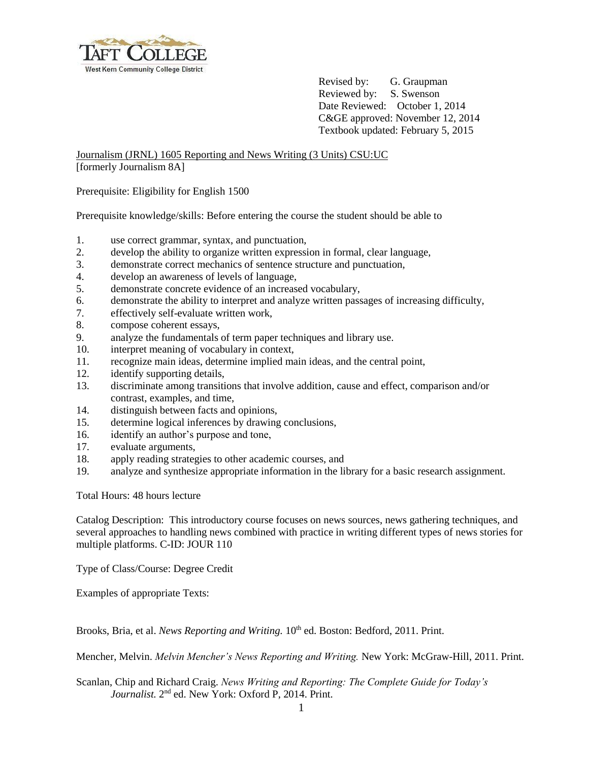

Revised by: G. Graupman Reviewed by: S. Swenson Date Reviewed: October 1, 2014 C&GE approved: November 12, 2014 Textbook updated: February 5, 2015

Journalism (JRNL) 1605 Reporting and News Writing (3 Units) CSU:UC [formerly Journalism 8A]

Prerequisite: Eligibility for English 1500

Prerequisite knowledge/skills: Before entering the course the student should be able to

- 1. use correct grammar, syntax, and punctuation,
- 2. develop the ability to organize written expression in formal, clear language,
- 3. demonstrate correct mechanics of sentence structure and punctuation,
- 4. develop an awareness of levels of language,
- 5. demonstrate concrete evidence of an increased vocabulary,
- 6. demonstrate the ability to interpret and analyze written passages of increasing difficulty,
- 7. effectively self-evaluate written work,
- 8. compose coherent essays,
- 9. analyze the fundamentals of term paper techniques and library use.
- 10. interpret meaning of vocabulary in context,
- 11. recognize main ideas, determine implied main ideas, and the central point,
- 12. identify supporting details,
- 13. discriminate among transitions that involve addition, cause and effect, comparison and/or contrast, examples, and time,
- 14. distinguish between facts and opinions,
- 15. determine logical inferences by drawing conclusions,
- 16. identify an author's purpose and tone,
- 17. evaluate arguments,
- 18. apply reading strategies to other academic courses, and
- 19. analyze and synthesize appropriate information in the library for a basic research assignment.

Total Hours: 48 hours lecture

Catalog Description: This introductory course focuses on news sources, news gathering techniques, and several approaches to handling news combined with practice in writing different types of news stories for multiple platforms. C-ID: JOUR 110

Type of Class/Course: Degree Credit

Examples of appropriate Texts:

Brooks, Bria, et al. *News Reporting and Writing.* 10<sup>th</sup> ed. Boston: Bedford, 2011. Print.

Mencher, Melvin. *Melvin Mencher's News Reporting and Writing.* New York: McGraw-Hill, 2011. Print.

Scanlan, Chip and Richard Craig. *News Writing and Reporting: The Complete Guide for Today's*  Journalist. 2<sup>nd</sup> ed. New York: Oxford P, 2014. Print.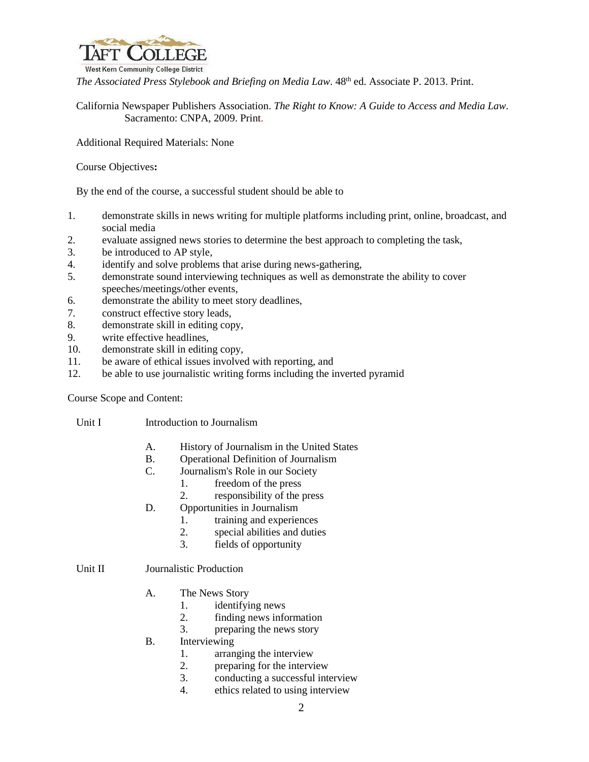

The Associated Press Stylebook and Briefing on Media Law. 48<sup>th</sup> ed. Associate P. 2013. Print.

California Newspaper Publishers Association. *The Right to Know: A Guide to Access and Media Law.*  Sacramento: CNPA, 2009. Print.

Additional Required Materials: None

Course Objectives**:**

By the end of the course, a successful student should be able to

- 1. demonstrate skills in news writing for multiple platforms including print, online, broadcast, and social media
- 2. evaluate assigned news stories to determine the best approach to completing the task,
- 3. be introduced to AP style,
- 4. identify and solve problems that arise during news-gathering,
- 5. demonstrate sound interviewing techniques as well as demonstrate the ability to cover speeches/meetings/other events,
- 6. demonstrate the ability to meet story deadlines,
- 7. construct effective story leads,
- 8. demonstrate skill in editing copy,
- 9. write effective headlines,
- 10. demonstrate skill in editing copy,
- 11. be aware of ethical issues involved with reporting, and
- 12. be able to use journalistic writing forms including the inverted pyramid

Course Scope and Content:

Unit I Introduction to Journalism

- A. History of Journalism in the United States
- B. Operational Definition of Journalism
- C. Journalism's Role in our Society
	- 1. freedom of the press
	- 2. responsibility of the press
- D. Opportunities in Journalism
	- 1. training and experiences
	- 2. special abilities and duties
	- 3. fields of opportunity

Unit II Journalistic Production

- A. The News Story
	- 1. identifying news
	- 2. finding news information
	- 3. preparing the news story
- B. Interviewing
	- 1. arranging the interview
	- 2. preparing for the interview
	- 3. conducting a successful interview
	- 4. ethics related to using interview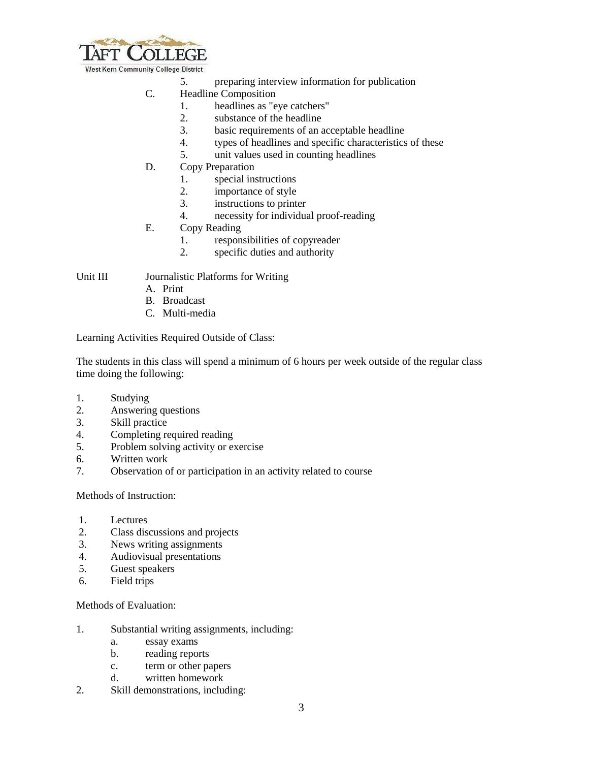

West Kern Community College District

- 5. preparing interview information for publication
- C. Headline Composition
	- 1. headlines as "eye catchers"
	- 2. substance of the headline
	- 3. basic requirements of an acceptable headline
	- 4. types of headlines and specific characteristics of these
	- 5. unit values used in counting headlines
- D. Copy Preparation
	- 1. special instructions
	- 2. importance of style
	- 3. instructions to printer
	- 4. necessity for individual proof-reading
- E. Copy Reading
	- 1. responsibilities of copyreader
	- 2. specific duties and authority

Unit III Journalistic Platforms for Writing

- A. Print
- B. Broadcast
- C. Multi-media

Learning Activities Required Outside of Class:

The students in this class will spend a minimum of 6 hours per week outside of the regular class time doing the following:

- 1. Studying
- 2. Answering questions
- 3. Skill practice
- 4. Completing required reading
- 5. Problem solving activity or exercise
- 6. Written work
- 7. Observation of or participation in an activity related to course

Methods of Instruction:

- 1. Lectures
- 2. Class discussions and projects
- 3. News writing assignments
- 4. Audiovisual presentations
- 5. Guest speakers
- 6. Field trips

Methods of Evaluation:

- 1. Substantial writing assignments, including:
	- a. essay exams
	- b. reading reports
	- c. term or other papers
	- d. written homework
- 2. Skill demonstrations, including: